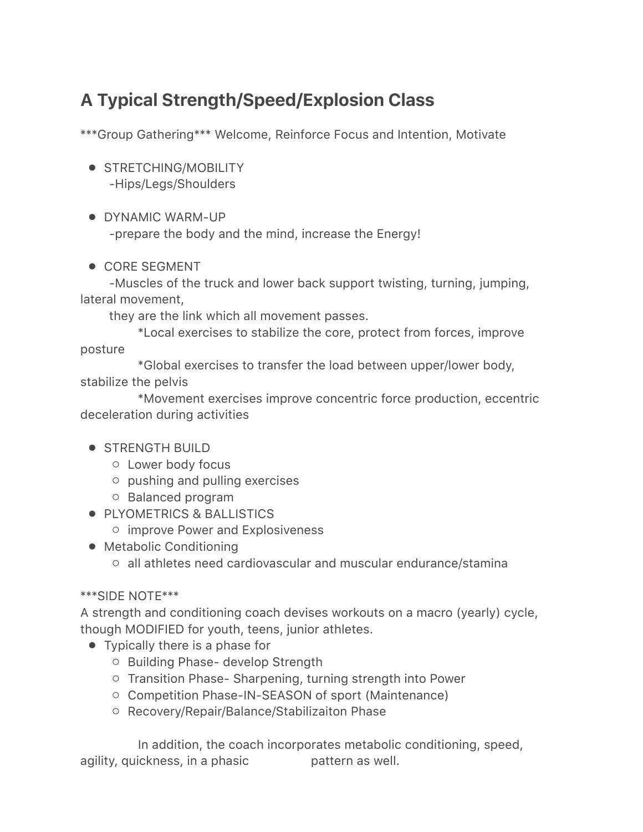## A Typical Strength/Speed/Explosion Class

\*\*\*Group Gathering\*\*\* Welcome, Reinforce Focus and Intention, Motivate

- STRETCHING/MOBILITY -Hips/Legs/Shoulders
- DYNAMIC WARM-UP

-prepare the body and the mind, increase the Energy!

● CORE SEGMENT

-Muscles of the truck and lower back support twisting, turning, jumping, lateral movement,

they are the link which all movement passes.

\*Local exercises to stabilize the core, protect from forces, improve posture

\*Global exercises to transfer the load between upper/lower body, stabilize the pelvis

\*Movement exercises improve concentric force production, eccentric deceleration during activities

- STRENGTH BUILD
	- Lower body focus
	- pushing and pulling exercises
	- Balanced program
- PLYOMETRICS & BALLISTICS
	- improve Power and Explosiveness
- Metabolic Conditioning
	- $\circ$  all athletes need cardiovascular and muscular endurance/stamina

## \*\*\*SIDE NOTE\*\*\*

A strength and conditioning coach devises workouts on a macro (yearly) cycle, though MODIFIED for youth, teens, junior athletes.

- Typically there is a phase for
	- Building Phase- develop Strength
	- Transition Phase- Sharpening, turning strength into Power
	- Competition Phase-IN-SEASON of sport (Maintenance)
	- Recovery/Repair/Balance/Stabilizaiton Phase

In addition, the coach incorporates metabolic conditioning, speed, agility, quickness, in a phasic pattern as well.